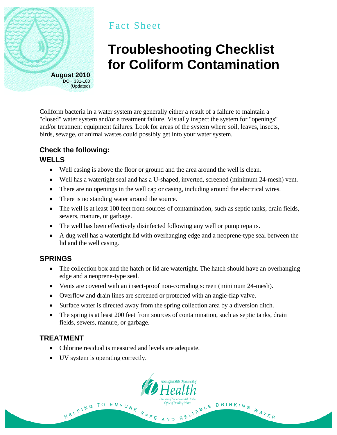

## Fact Sheet

# **Troubleshooting Checklist for Coliform Contamination**

Coliform bacteria in a water system are generally either a result of a failure to maintain a "closed" water system and/or a treatment failure. Visually inspect the system for "openings" and/or treatment equipment failures. Look for areas of the system where soil, leaves, insects, birds, sewage, or animal wastes could possibly get into your water system.

### **Check the following:**

#### **WELLS**

- Well casing is above the floor or ground and the area around the well is clean.
- Well has a watertight seal and has a U-shaped, inverted, screened (minimum 24-mesh) vent.
- There are no openings in the well cap or casing, including around the electrical wires.
- There is no standing water around the source.
- The well is at least 100 feet from sources of contamination, such as septic tanks, drain fields, sewers, manure, or garbage.
- The well has been effectively disinfected following any well or pump repairs.
- A dug well has a watertight lid with overhanging edge and a neoprene-type seal between the lid and the well casing.

#### **SPRINGS**

- The collection box and the hatch or lid are watertight. The hatch should have an overhanging edge and a neoprene-type seal.
- Vents are covered with an insect-proof non-corroding screen (minimum 24-mesh).
- Overflow and drain lines are screened or protected with an angle-flap valve.
- Surface water is directed away from the spring collection area by a diversion ditch.
- The spring is at least 200 feet from sources of contamination, such as septic tanks, drain fields, sewers, manure, or garbage.

#### **TREATMENT**

- Chlorine residual is measured and levels are adequate.
- UV system is operating correctly.

HELPING TO



SAFE AND